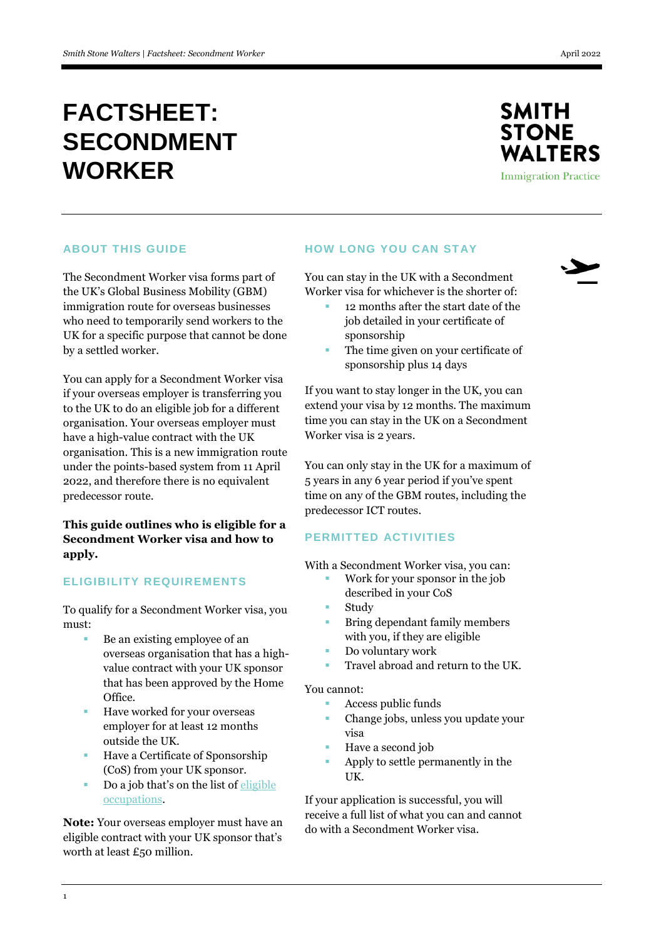# **FACTSHEET: SECONDMENT WORKER**



## **ABOUT THIS GUIDE**

The Secondment Worker visa forms part of the UK's Global Business Mobility (GBM) immigration route for overseas businesses who need to temporarily send workers to the UK for a specific purpose that cannot be done by a settled worker.

You can apply for a Secondment Worker visa if your overseas employer is transferring you to the UK to do an eligible job for a different organisation. Your overseas employer must have a high-value contract with the UK organisation. This is a new immigration route under the points-based system from 11 April 2022, and therefore there is no equivalent predecessor route.

# **This guide outlines who is eligible for a Secondment Worker visa and how to apply.**

## **ELIGIBILITY REQUIREMENTS**

To qualify for a Secondment Worker visa, you must:

- Be an existing employee of an overseas organisation that has a highvalue contract with your UK sponsor that has been approved by the Home Office.
- **Have worked for your overseas** employer for at least 12 months outside the UK.
- Have a Certificate of Sponsorship (CoS) from your UK sponsor.
- Do a job that's on the list of [eligible](https://www.gov.uk/government/publications/global-business-mobility-eligible-occupations-and-codes)  [occupations.](https://www.gov.uk/government/publications/global-business-mobility-eligible-occupations-and-codes)

**Note:** Your overseas employer must have an eligible contract with your UK sponsor that's worth at least £50 million.

## **HOW LONG YOU CAN STAY**

You can stay in the UK with a Secondment Worker visa for whichever is the shorter of:

- 12 months after the start date of the job detailed in your certificate of sponsorship
- The time given on your certificate of sponsorship plus 14 days

If you want to stay longer in the UK, you can extend your visa by 12 months. The maximum time you can stay in the UK on a Secondment Worker visa is 2 years.

You can only stay in the UK for a maximum of 5 years in any 6 year period if you've spent time on any of the GBM routes, including the predecessor ICT routes.

## **PERMITTED ACTIVITIES**

With a Secondment Worker visa, you can:

- Work for your sponsor in the job described in your CoS
	- Study
- Bring dependant family members with you, if they are eligible
- Do voluntary work
- Travel abroad and return to the UK.

#### You cannot:

- Access public funds
- Change jobs, unless you update your visa
- Have a second job
- Apply to settle permanently in the UK.

If your application is successful, you will receive a full list of what you can and cannot do with a Secondment Worker visa.